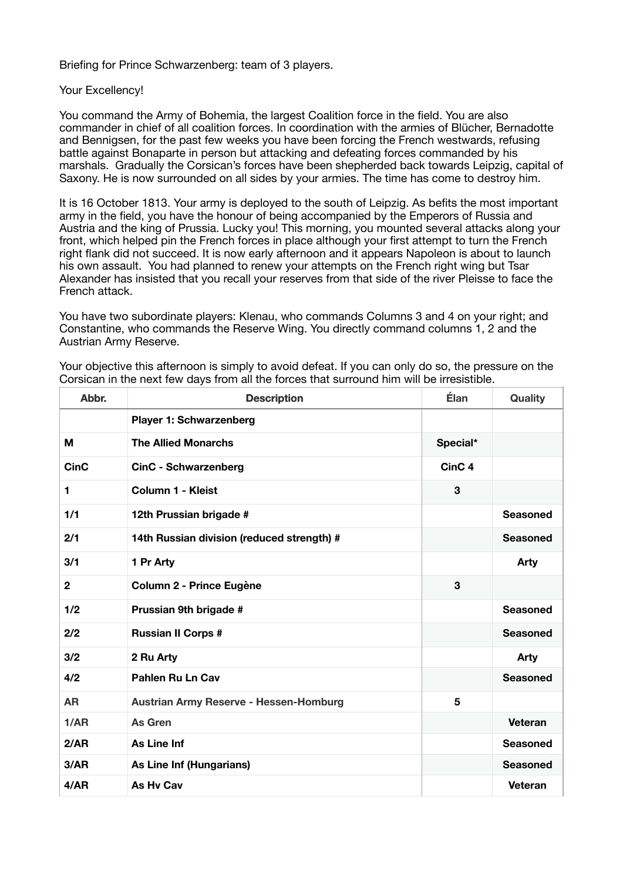Briefing for Prince Schwarzenberg: team of 3 players.

## Your Excellency!

You command the Army of Bohemia, the largest Coalition force in the field. You are also commander in chief of all coalition forces. In coordination with the armies of Blücher, Bernadotte and Bennigsen, for the past few weeks you have been forcing the French westwards, refusing battle against Bonaparte in person but attacking and defeating forces commanded by his marshals. Gradually the Corsican's forces have been shepherded back towards Leipzig, capital of Saxony. He is now surrounded on all sides by your armies. The time has come to destroy him.

It is 16 October 1813. Your army is deployed to the south of Leipzig. As befits the most important army in the field, you have the honour of being accompanied by the Emperors of Russia and Austria and the king of Prussia. Lucky you! This morning, you mounted several attacks along your front, which helped pin the French forces in place although your first attempt to turn the French right flank did not succeed. It is now early afternoon and it appears Napoleon is about to launch his own assault. You had planned to renew your attempts on the French right wing but Tsar Alexander has insisted that you recall your reserves from that side of the river Pleisse to face the French attack.

You have two subordinate players: Klenau, who commands Columns 3 and 4 on your right; and Constantine, who commands the Reserve Wing. You directly command columns 1, 2 and the Austrian Army Reserve.

| Abbr.        | <b>Description</b>                            | <b>Élan</b>       | Quality         |
|--------------|-----------------------------------------------|-------------------|-----------------|
|              | <b>Player 1: Schwarzenberg</b>                |                   |                 |
| м            | <b>The Allied Monarchs</b>                    | Special*          |                 |
| <b>CinC</b>  | <b>CinC - Schwarzenberg</b>                   | CinC <sub>4</sub> |                 |
| 1            | Column 1 - Kleist                             | 3                 |                 |
| 1/1          | 12th Prussian brigade #                       |                   | <b>Seasoned</b> |
| 2/1          | 14th Russian division (reduced strength) #    |                   | <b>Seasoned</b> |
| 3/1          | 1 Pr Arty                                     |                   | <b>Arty</b>     |
| $\mathbf{2}$ | Column 2 - Prince Eugène                      | 3                 |                 |
| 1/2          | Prussian 9th brigade #                        |                   | <b>Seasoned</b> |
| 2/2          | <b>Russian II Corps #</b>                     |                   | <b>Seasoned</b> |
| 3/2          | 2 Ru Arty                                     |                   | <b>Arty</b>     |
| 4/2          | <b>Pahlen Ru Ln Cav</b>                       |                   | <b>Seasoned</b> |
| <b>AR</b>    | <b>Austrian Army Reserve - Hessen-Homburg</b> | 5                 |                 |
| 1/AR         | As Gren                                       |                   | Veteran         |
| 2/AR         | As Line Inf                                   |                   | <b>Seasoned</b> |
| 3/AR         | As Line Inf (Hungarians)                      |                   | <b>Seasoned</b> |
| 4/AR         | As Hy Cav                                     |                   | Veteran         |

Your objective this afternoon is simply to avoid defeat. If you can only do so, the pressure on the Corsican in the next few days from all the forces that surround him will be irresistible.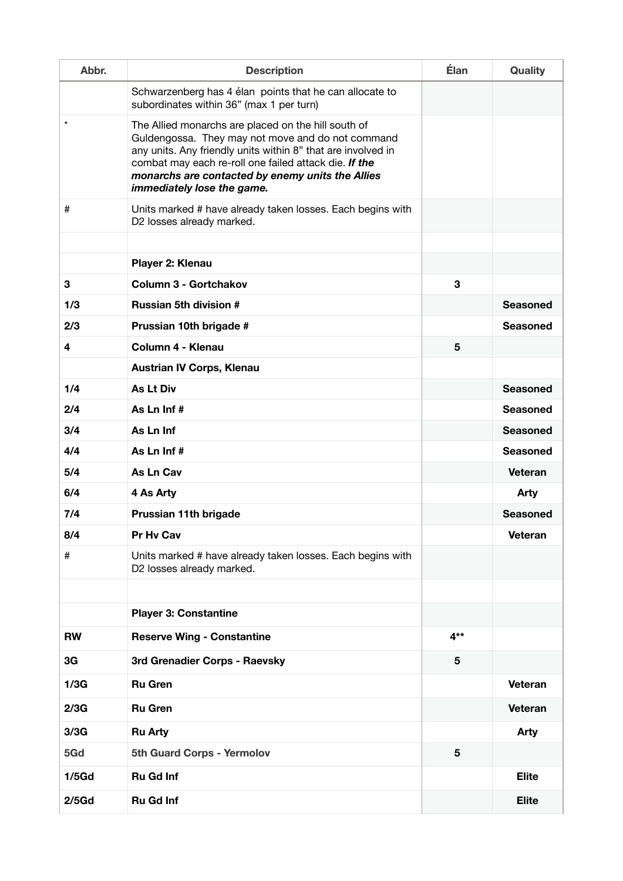| Abbr.     | <b>Description</b>                                                                                                                                                                                                                                                                                                  | <b>Élan</b> | Quality         |
|-----------|---------------------------------------------------------------------------------------------------------------------------------------------------------------------------------------------------------------------------------------------------------------------------------------------------------------------|-------------|-----------------|
|           | Schwarzenberg has 4 élan points that he can allocate to<br>subordinates within 36" (max 1 per turn)                                                                                                                                                                                                                 |             |                 |
| $^\star$  | The Allied monarchs are placed on the hill south of<br>Guldengossa. They may not move and do not command<br>any units. Any friendly units within 8" that are involved in<br>combat may each re-roll one failed attack die. If the<br>monarchs are contacted by enemy units the Allies<br>immediately lose the game. |             |                 |
| #         | Units marked # have already taken losses. Each begins with<br>D2 losses already marked.                                                                                                                                                                                                                             |             |                 |
|           |                                                                                                                                                                                                                                                                                                                     |             |                 |
|           | Player 2: Klenau                                                                                                                                                                                                                                                                                                    |             |                 |
| 3         | Column 3 - Gortchakov                                                                                                                                                                                                                                                                                               | 3           |                 |
| 1/3       | <b>Russian 5th division #</b>                                                                                                                                                                                                                                                                                       |             | <b>Seasoned</b> |
| 2/3       | Prussian 10th brigade #                                                                                                                                                                                                                                                                                             |             | <b>Seasoned</b> |
| 4         | Column 4 - Klenau                                                                                                                                                                                                                                                                                                   | 5           |                 |
|           | <b>Austrian IV Corps, Klenau</b>                                                                                                                                                                                                                                                                                    |             |                 |
| 1/4       | <b>As Lt Div</b>                                                                                                                                                                                                                                                                                                    |             | <b>Seasoned</b> |
| 2/4       | As Ln Inf#                                                                                                                                                                                                                                                                                                          |             | <b>Seasoned</b> |
| 3/4       | As Ln Inf                                                                                                                                                                                                                                                                                                           |             | <b>Seasoned</b> |
| 4/4       | As Ln Inf#                                                                                                                                                                                                                                                                                                          |             | <b>Seasoned</b> |
| 5/4       | As Ln Cav                                                                                                                                                                                                                                                                                                           |             | Veteran         |
| 6/4       | 4 As Arty                                                                                                                                                                                                                                                                                                           |             | <b>Arty</b>     |
| 7/4       | Prussian 11th brigade                                                                                                                                                                                                                                                                                               |             | <b>Seasoned</b> |
| 8/4       | Pr Hv Cav                                                                                                                                                                                                                                                                                                           |             | <b>Veteran</b>  |
| #         | Units marked # have already taken losses. Each begins with<br>D2 losses already marked.                                                                                                                                                                                                                             |             |                 |
|           |                                                                                                                                                                                                                                                                                                                     |             |                 |
|           | <b>Player 3: Constantine</b>                                                                                                                                                                                                                                                                                        |             |                 |
| <b>RW</b> | <b>Reserve Wing - Constantine</b>                                                                                                                                                                                                                                                                                   | $4**$       |                 |
| 3G        | 3rd Grenadier Corps - Raevsky                                                                                                                                                                                                                                                                                       | 5           |                 |
| 1/3G      | <b>Ru Gren</b>                                                                                                                                                                                                                                                                                                      |             | Veteran         |
| 2/3G      | <b>Ru Gren</b>                                                                                                                                                                                                                                                                                                      |             | Veteran         |
| 3/3G      | <b>Ru Arty</b>                                                                                                                                                                                                                                                                                                      |             | <b>Arty</b>     |
| 5Gd       | 5th Guard Corps - Yermolov                                                                                                                                                                                                                                                                                          | 5           |                 |
| $1/5$ Gd  | <b>Ru Gd Inf</b>                                                                                                                                                                                                                                                                                                    |             | <b>Elite</b>    |
| $2/5$ Gd  | <b>Ru Gd Inf</b>                                                                                                                                                                                                                                                                                                    |             | <b>Elite</b>    |